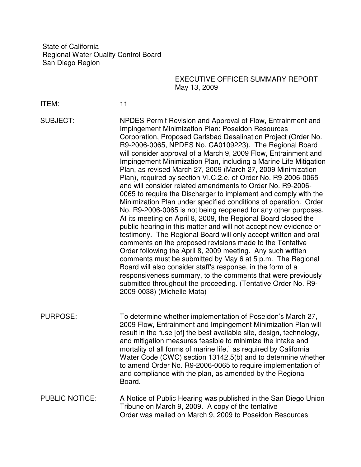State of California Regional Water Quality Control Board San Diego Region

## EXECUTIVE OFFICER SUMMARY REPORT May 13, 2009

ITEM: 11

SUBJECT: NPDES Permit Revision and Approval of Flow, Entrainment and Impingement Minimization Plan: Poseidon Resources Corporation, Proposed Carlsbad Desalination Project (Order No. R9-2006-0065, NPDES No. CA0109223). The Regional Board will consider approval of a March 9, 2009 Flow, Entrainment and Impingement Minimization Plan, including a Marine Life Mitigation Plan, as revised March 27, 2009 (March 27, 2009 Minimization Plan), required by section VI.C.2.e. of Order No. R9-2006-0065 and will consider related amendments to Order No. R9-2006- 0065 to require the Discharger to implement and comply with the Minimization Plan under specified conditions of operation. Order No. R9-2006-0065 is not being reopened for any other purposes. At its meeting on April 8, 2009, the Regional Board closed the public hearing in this matter and will not accept new evidence or testimony. The Regional Board will only accept written and oral comments on the proposed revisions made to the Tentative Order following the April 8, 2009 meeting. Any such written comments must be submitted by May 6 at 5 p.m. The Regional Board will also consider staff's response, in the form of a responsiveness summary, to the comments that were previously submitted throughout the proceeding. (Tentative Order No. R9- 2009-0038) (Michelle Mata)

PURPOSE: To determine whether implementation of Poseidon's March 27, 2009 Flow, Entrainment and Impingement Minimization Plan will result in the "use [of] the best available site, design, technology, and mitigation measures feasible to minimize the intake and mortality of all forms of marine life," as required by California Water Code (CWC) section 13142.5(b) and to determine whether to amend Order No. R9-2006-0065 to require implementation of and compliance with the plan, as amended by the Regional Board.

PUBLIC NOTICE: A Notice of Public Hearing was published in the San Diego Union Tribune on March 9, 2009. A copy of the tentative Order was mailed on March 9, 2009 to Poseidon Resources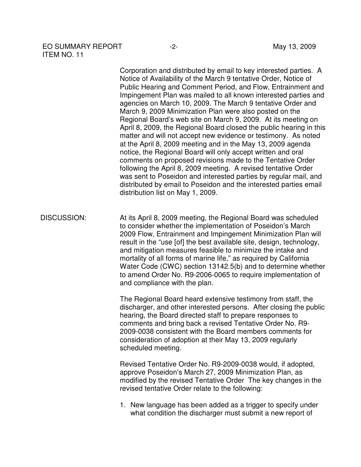## EO SUMMARY REPORT -2-<br>
May 13, 2009 ITEM NO. 11

Corporation and distributed by email to key interested parties. A Notice of Availability of the March 9 tentative Order, Notice of Public Hearing and Comment Period, and Flow, Entrainment and Impingement Plan was mailed to all known interested parties and agencies on March 10, 2009. The March 9 tentative Order and March 9, 2009 Minimization Plan were also posted on the Regional Board's web site on March 9, 2009. At its meeting on April 8, 2009, the Regional Board closed the public hearing in this matter and will not accept new evidence or testimony. As noted at the April 8, 2009 meeting and in the May 13, 2009 agenda notice, the Regional Board will only accept written and oral comments on proposed revisions made to the Tentative Order following the April 8, 2009 meeting. A revised tentative Order was sent to Poseidon and interested parties by regular mail, and distributed by email to Poseidon and the interested parties email distribution list on May 1, 2009.

DISCUSSION: At its April 8, 2009 meeting, the Regional Board was scheduled to consider whether the implementation of Poseidon's March 2009 Flow, Entrainment and Impingement Minimization Plan will result in the "use [of] the best available site, design, technology, and mitigation measures feasible to minimize the intake and mortality of all forms of marine life," as required by California Water Code (CWC) section 13142.5(b) and to determine whether to amend Order No. R9-2006-0065 to require implementation of and compliance with the plan.

> The Regional Board heard extensive testimony from staff, the discharger, and other interested persons. After closing the public hearing, the Board directed staff to prepare responses to comments and bring back a revised Tentative Order No. R9- 2009-0038 consistent with the Board members comments for consideration of adoption at their May 13, 2009 regularly scheduled meeting.

Revised Tentative Order No. R9-2009-0038 would, if adopted, approve Poseidon's March 27, 2009 Minimization Plan, as modified by the revised Tentative Order The key changes in the revised tentative Order relate to the following:

1. New language has been added as a trigger to specify under what condition the discharger must submit a new report of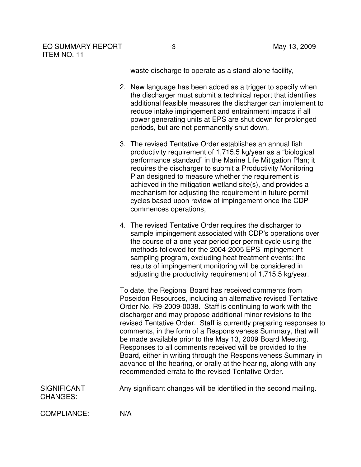waste discharge to operate as a stand-alone facility,

- 2. New language has been added as a trigger to specify when the discharger must submit a technical report that identifies additional feasible measures the discharger can implement to reduce intake impingement and entrainment impacts if all power generating units at EPS are shut down for prolonged periods, but are not permanently shut down,
- 3. The revised Tentative Order establishes an annual fish productivity requirement of 1,715.5 kg/year as a "biological performance standard" in the Marine Life Mitigation Plan; it requires the discharger to submit a Productivity Monitoring Plan designed to measure whether the requirement is achieved in the mitigation wetland site(s), and provides a mechanism for adjusting the requirement in future permit cycles based upon review of impingement once the CDP commences operations,
- 4. The revised Tentative Order requires the discharger to sample impingement associated with CDP's operations over the course of a one year period per permit cycle using the methods followed for the 2004-2005 EPS impingement sampling program, excluding heat treatment events; the results of impingement monitoring will be considered in adjusting the productivity requirement of 1,715.5 kg/year.

To date, the Regional Board has received comments from Poseidon Resources, including an alternative revised Tentative Order No. R9-2009-0038. Staff is continuing to work with the discharger and may propose additional minor revisions to the revised Tentative Order. Staff is currently preparing responses to comments, in the form of a Responsiveness Summary, that will be made available prior to the May 13, 2009 Board Meeting. Responses to all comments received will be provided to the Board, either in writing through the Responsiveness Summary in advance of the hearing, or orally at the hearing, along with any recommended errata to the revised Tentative Order.

| <b>SIGNIFICANT</b> | Any significant changes will be identified in the second mailing. |  |
|--------------------|-------------------------------------------------------------------|--|
|--------------------|-------------------------------------------------------------------|--|

CHANGES:

COMPLIANCE: N/A